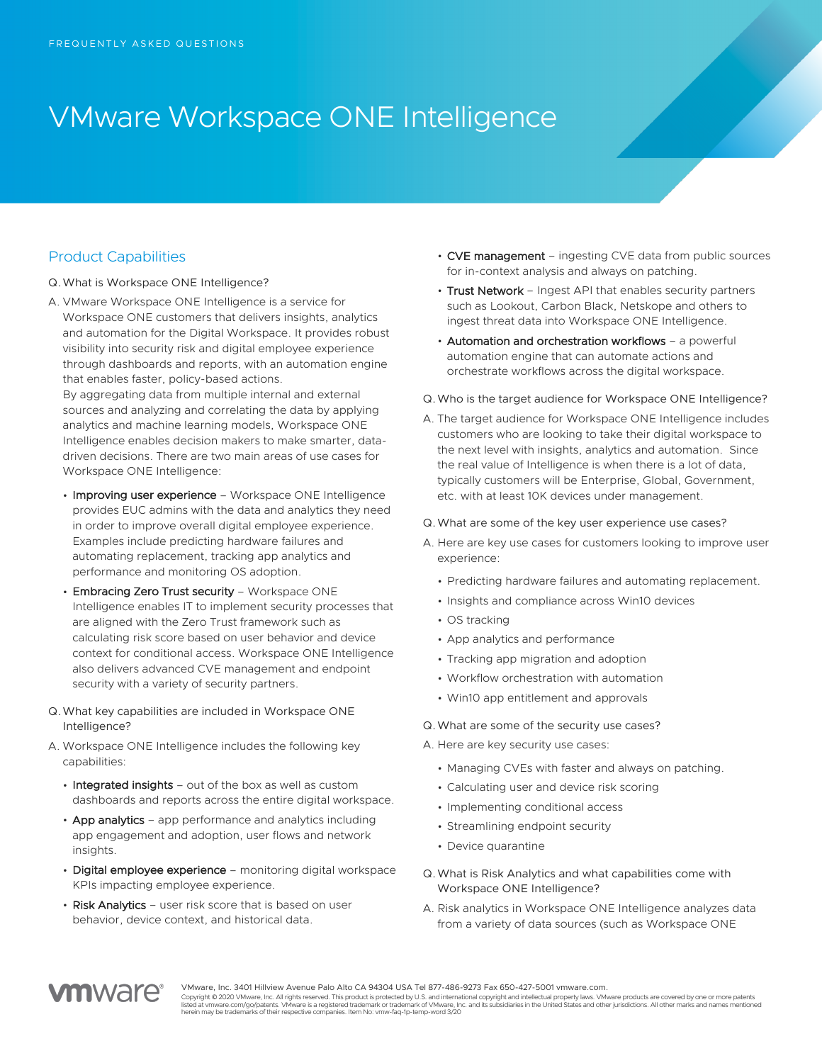# VMware Workspace ONE Intelligence

## Product Capabilities

- Q.What is Workspace ONE Intelligence?
- A. VMware Workspace ONE Intelligence is a service for Workspace ONE customers that delivers insights, analytics and automation for the Digital Workspace. It provides robust visibility into security risk and digital employee experience through dashboards and reports, with an automation engine that enables faster, policy-based actions.

By aggregating data from multiple internal and external sources and analyzing and correlating the data by applying analytics and machine learning models, Workspace ONE Intelligence enables decision makers to make smarter, datadriven decisions. There are two main areas of use cases for Workspace ONE Intelligence:

- Improving user experience Workspace ONE Intelligence provides EUC admins with the data and analytics they need in order to improve overall digital employee experience. Examples include predicting hardware failures and automating replacement, tracking app analytics and performance and monitoring OS adoption.
- Embracing Zero Trust security Workspace ONE Intelligence enables IT to implement security processes that are aligned with the Zero Trust framework such as calculating risk score based on user behavior and device context for conditional access. Workspace ONE Intelligence also delivers advanced CVE management and endpoint security with a variety of security partners.
- Q.What key capabilities are included in Workspace ONE Intelligence?
- A. Workspace ONE Intelligence includes the following key capabilities:
	- Integrated insights out of the box as well as custom dashboards and reports across the entire digital workspace.
	- App analytics app performance and analytics including app engagement and adoption, user flows and network insights.
	- Digital employee experience monitoring digital workspace KPIs impacting employee experience.
	- Risk Analytics user risk score that is based on user behavior, device context, and historical data.
- CVE management ingesting CVE data from public sources for in-context analysis and always on patching.
- Trust Network Ingest API that enables security partners such as Lookout, Carbon Black, Netskope and others to ingest threat data into Workspace ONE Intelligence.
- Automation and orchestration workflows a powerful automation engine that can automate actions and orchestrate workflows across the digital workspace.
- Q.Who is the target audience for Workspace ONE Intelligence?
- A. The target audience for Workspace ONE Intelligence includes customers who are looking to take their digital workspace to the next level with insights, analytics and automation. Since the real value of Intelligence is when there is a lot of data, typically customers will be Enterprise, Global, Government, etc. with at least 10K devices under management.

#### Q.What are some of the key user experience use cases?

- A. Here are key use cases for customers looking to improve user experience:
	- Predicting hardware failures and automating replacement.
	- Insights and compliance across Win10 devices
	- OS tracking
	- App analytics and performance
	- Tracking app migration and adoption
	- Workflow orchestration with automation
	- Win10 app entitlement and approvals

#### Q.What are some of the security use cases?

- A. Here are key security use cases:
	- Managing CVEs with faster and always on patching.
	- Calculating user and device risk scoring
	- Implementing conditional access
	- Streamlining endpoint security
	- Device quarantine
- Q.What is Risk Analytics and what capabilities come with Workspace ONE Intelligence?
- A. Risk analytics in Workspace ONE Intelligence analyzes data from a variety of data sources (such as Workspace ONE



VMware, Inc. 3401 Hillview Avenue Palo Alto CA 94304 USA Tel 877-486-9273 Fax 650-427-5001 vmware.com.

Copyright © 2020 VMware, Inc. All rights reserved. This product is protected by U.S. and international copyright and intellectual property laws. VMware products are covered by one or more patents listed at vmware.com/go/patents. VMware is a registered trademark on trademark of VMware, Inc. and its subsidiaries in the United States and other jurisdictions. All other marks and names mentioned<br>herein may be trademarks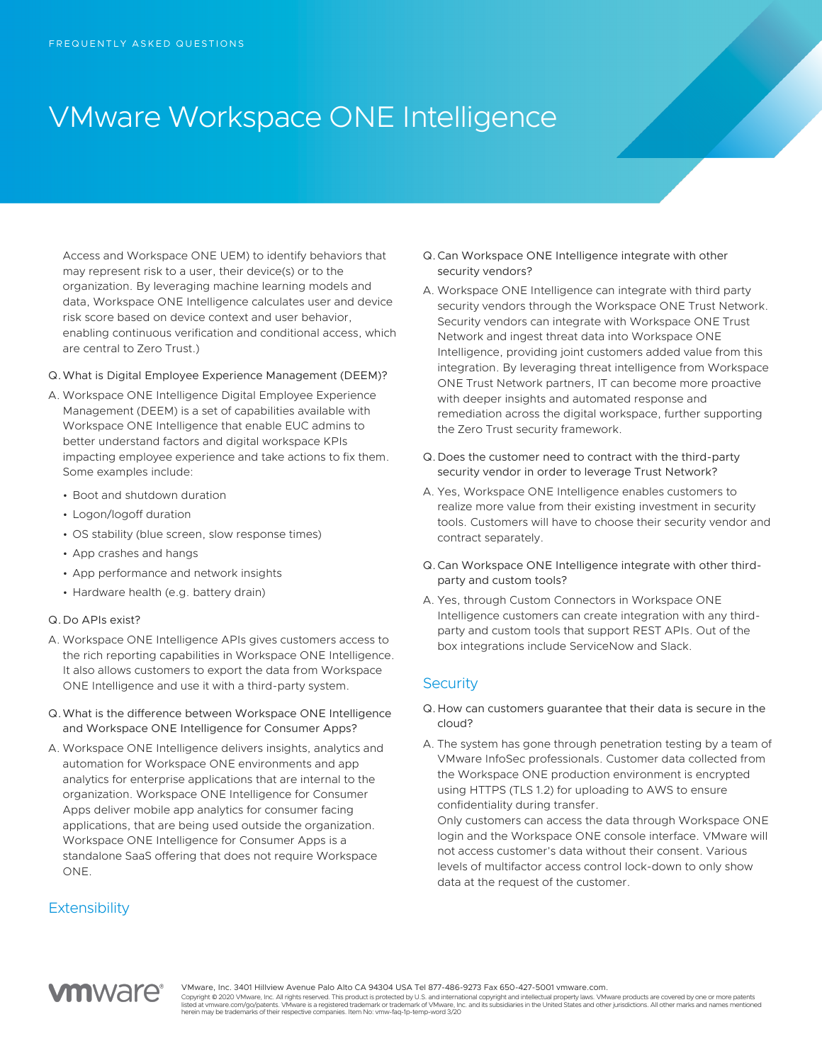## VMware Workspace ONE Intelligence

Access and Workspace ONE UEM) to identify behaviors that may represent risk to a user, their device(s) or to the organization. By leveraging machine learning models and data, Workspace ONE Intelligence calculates user and device risk score based on device context and user behavior, enabling continuous verification and conditional access, which are central to Zero Trust.)

#### Q.What is Digital Employee Experience Management (DEEM)?

- A. Workspace ONE Intelligence Digital Employee Experience Management (DEEM) is a set of capabilities available with Workspace ONE Intelligence that enable EUC admins to better understand factors and digital workspace KPIs impacting employee experience and take actions to fix them. Some examples include:
	- Boot and shutdown duration
	- Logon/logoff duration
	- OS stability (blue screen, slow response times)
	- App crashes and hangs
	- App performance and network insights
	- Hardware health (e.g. battery drain)

#### Q.Do APIs exist?

- A. Workspace ONE Intelligence APIs gives customers access to the rich reporting capabilities in Workspace ONE Intelligence. It also allows customers to export the data from Workspace ONE Intelligence and use it with a third-party system.
- Q.What is the difference between Workspace ONE Intelligence and Workspace ONE Intelligence for Consumer Apps?
- A. Workspace ONE Intelligence delivers insights, analytics and automation for Workspace ONE environments and app analytics for enterprise applications that are internal to the organization. Workspace ONE Intelligence for Consumer Apps deliver mobile app analytics for consumer facing applications, that are being used outside the organization. Workspace ONE Intelligence for Consumer Apps is a standalone SaaS offering that does not require Workspace ONE.

## **Extensibility**

- Q.Can Workspace ONE Intelligence integrate with other security vendors?
- A. Workspace ONE Intelligence can integrate with third party security vendors through the Workspace ONE Trust Network. Security vendors can integrate with Workspace ONE Trust Network and ingest threat data into Workspace ONE Intelligence, providing joint customers added value from this integration. By leveraging threat intelligence from Workspace ONE Trust Network partners, IT can become more proactive with deeper insights and automated response and remediation across the digital workspace, further supporting the Zero Trust security framework.
- Q.Does the customer need to contract with the third-party security vendor in order to leverage Trust Network?
- A. Yes, Workspace ONE Intelligence enables customers to realize more value from their existing investment in security tools. Customers will have to choose their security vendor and contract separately.
- Q.Can Workspace ONE Intelligence integrate with other thirdparty and custom tools?
- A. Yes, through Custom Connectors in Workspace ONE Intelligence customers can create integration with any thirdparty and custom tools that support REST APIs. Out of the box integrations include ServiceNow and Slack.

### **Security**

- Q.How can customers guarantee that their data is secure in the cloud?
- A. The system has gone through penetration testing by a team of VMware InfoSec professionals. Customer data collected from the Workspace ONE production environment is encrypted using HTTPS (TLS 1.2) for uploading to AWS to ensure confidentiality during transfer.

Only customers can access the data through Workspace ONE login and the Workspace ONE console interface. VMware will not access customer's data without their consent. Various levels of multifactor access control lock-down to only show data at the request of the customer.



VMware, Inc. 3401 Hillview Avenue Palo Alto CA 94304 USA Tel 877-486-9273 Fax 650-427-5001 vmware.com.

Copyright © 2020 VMware, Inc. All rights reserved. This product is protected by U.S. and international copyright and intellectual property laws. VMware products are covered by one or more patents listed at vmware.com/go/patents. VMware is a registered trademark on trademark of VMware, Inc. and its subsidiaries in the United States and other jurisdictions. All other marks and names mentioned<br>herein may be trademarks